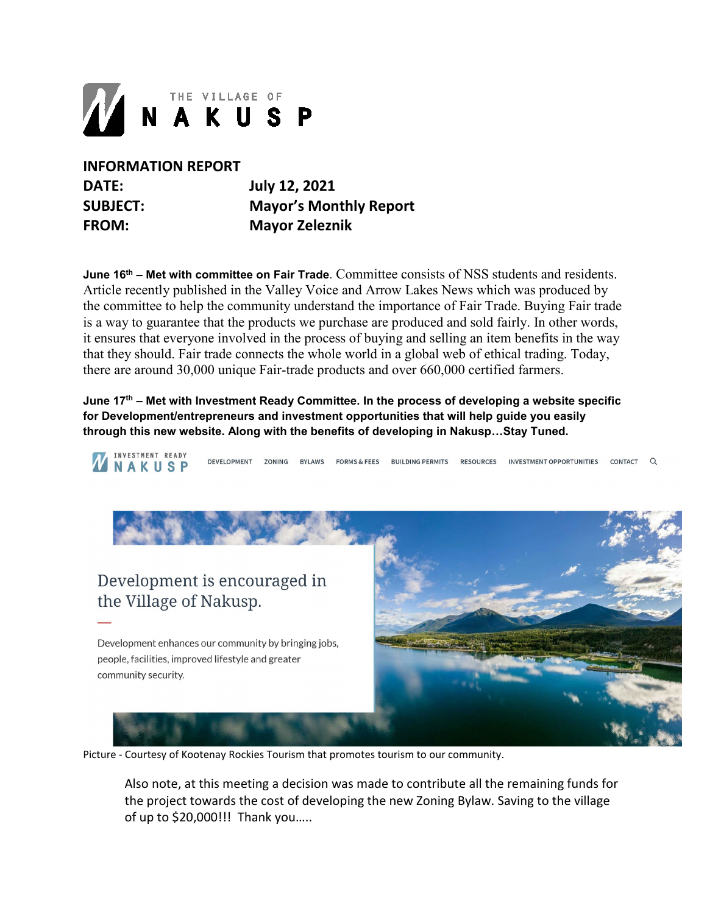

**INFORMATION REPORT DATE: July 12, 2021**

**SUBJECT: Mayor's Monthly Report FROM: Mayor Zeleznik**

**June 16th – Met with committee on Fair Trade**. Committee consists of NSS students and residents. Article recently published in the Valley Voice and Arrow Lakes News which was produced by the committee to help the community understand the importance of Fair Trade. Buying Fair trade is a way to guarantee that the products we purchase are produced and sold fairly. In other words, it ensures that everyone involved in the process of buying and selling an item benefits in the way that they should. Fair trade connects the whole world in a global web of ethical trading. Today, there are around 30,000 unique Fair-trade products and over 660,000 certified farmers.

**June 17th – Met with Investment Ready Committee. In the process of developing a website specific for Development/entrepreneurs and investment opportunities that will help guide you easily through this new website. Along with the benefits of developing in Nakusp…Stay Tuned.**

*INVESTMENT READY* **DEVELOPMENT** FORMS & FEES BUILDING PERMITS **ZONING RVI AWS RESOURCES** INVESTMENT OPPORTUNITIES CONTACT O NAKUSP

Development is encouraged in the Village of Nakusp.

Development enhances our community by bringing jobs, people, facilities, improved lifestyle and greater community security.



Picture - Courtesy of Kootenay Rockies Tourism that promotes tourism to our community.

Also note, at this meeting a decision was made to contribute all the remaining funds for the project towards the cost of developing the new Zoning Bylaw. Saving to the village of up to \$20,000!!! Thank you…..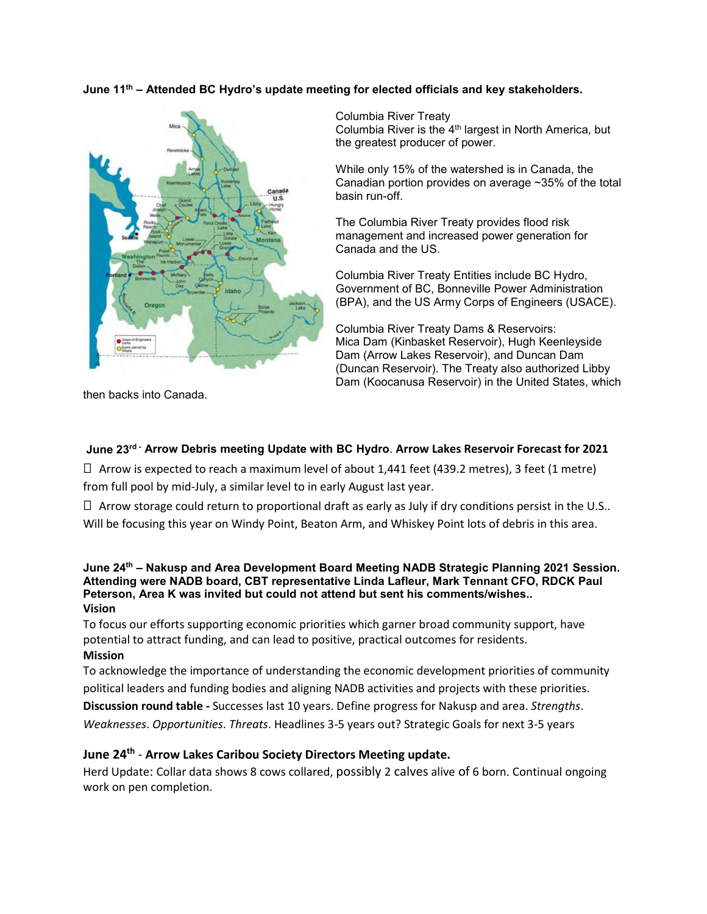## **June 11th – Attended BC Hydro's update meeting for elected officials and key stakeholders.**



Columbia River Treaty Columbia River is the 4th largest in North America, but the greatest producer of power.

While only 15% of the watershed is in Canada, the Canadian portion provides on average ~35% of the total basin run-off.

The Columbia River Treaty provides flood risk management and increased power generation for Canada and the US.

Columbia River Treaty Entities include BC Hydro, Government of BC, Bonneville Power Administration (BPA), and the US Army Corps of Engineers (USACE).

Columbia River Treaty Dams & Reservoirs: Mica Dam (Kinbasket Reservoir), Hugh Keenleyside Dam (Arrow Lakes Reservoir), and Duncan Dam (Duncan Reservoir). The Treaty also authorized Libby Dam (Koocanusa Reservoir) in the United States, which

then backs into Canada.

## **June 23rd - Arrow Debris meeting Update with BC Hydro**. **Arrow Lakes Reservoir Forecast for 2021**

 $\Box$  Arrow is expected to reach a maximum level of about 1,441 feet (439.2 metres), 3 feet (1 metre) from full pool by mid-July, a similar level to in early August last year.

 $\Box$  Arrow storage could return to proportional draft as early as July if dry conditions persist in the U.S.. Will be focusing this year on Windy Point, Beaton Arm, and Whiskey Point lots of debris in this area.

#### **June 24th – Nakusp and Area Development Board Meeting NADB Strategic Planning 2021 Session. Attending were NADB board, CBT representative Linda Lafleur, Mark Tennant CFO, RDCK Paul Peterson, Area K was invited but could not attend but sent his comments/wishes.. Vision**

To focus our efforts supporting economic priorities which garner broad community support, have potential to attract funding, and can lead to positive, practical outcomes for residents. **Mission** 

To acknowledge the importance of understanding the economic development priorities of community political leaders and funding bodies and aligning NADB activities and projects with these priorities.

**Discussion round table -** Successes last 10 years. Define progress for Nakusp and area. *Strengths*.

*Weaknesses*. *Opportunities*. *Threats*. Headlines 3-5 years out? Strategic Goals for next 3-5 years

# **June 24th** - **Arrow Lakes Caribou Society Directors Meeting update.**

Herd Update: Collar data shows 8 cows collared, possibly 2 calves alive of 6 born. Continual ongoing work on pen completion.